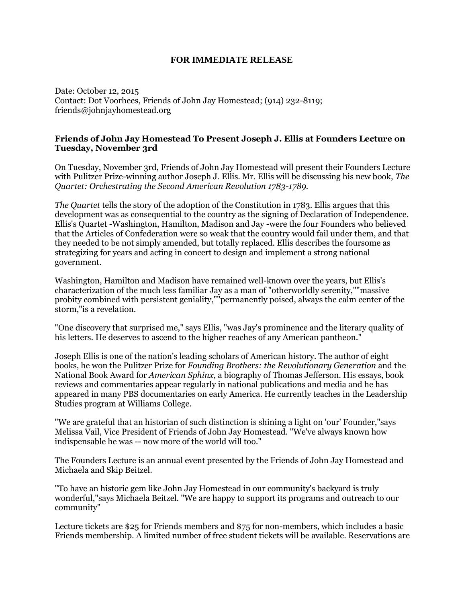## **FOR IMMEDIATE RELEASE**

Date: October 12, 2015 Contact: Dot Voorhees, Friends of John Jay Homestead; (914) 232-8119; friends@johnjayhomestead.org

## **Friends of John Jay Homestead To Present Joseph J. Ellis at Founders Lecture on Tuesday, November 3rd**

On Tuesday, November 3rd, Friends of John Jay Homestead will present their Founders Lecture with Pulitzer Prize-winning author Joseph J. Ellis. Mr. Ellis will be discussing his new book, *The Quartet: Orchestrating the Second American Revolution 1783-1789.*

*The Quartet* tells the story of the adoption of the Constitution in 1783. Ellis argues that this development was as consequential to the country as the signing of Declaration of Independence. Ellis's Quartet -Washington, Hamilton, Madison and Jay -were the four Founders who believed that the Articles of Confederation were so weak that the country would fail under them, and that they needed to be not simply amended, but totally replaced. Ellis describes the foursome as strategizing for years and acting in concert to design and implement a strong national government.

Washington, Hamilton and Madison have remained well-known over the years, but Ellis's characterization of the much less familiar Jay as a man of "otherworldly serenity,""massive probity combined with persistent geniality,""permanently poised, always the calm center of the storm,"is a revelation.

"One discovery that surprised me," says Ellis, "was Jay's prominence and the literary quality of his letters. He deserves to ascend to the higher reaches of any American pantheon."

Joseph Ellis is one of the nation's leading scholars of American history. The author of eight books, he won the Pulitzer Prize for *Founding Brothers: the Revolutionary Generation* and the National Book Award for *American Sphinx*, a biography of Thomas Jefferson. His essays, book reviews and commentaries appear regularly in national publications and media and he has appeared in many PBS documentaries on early America. He currently teaches in the Leadership Studies program at Williams College.

"We are grateful that an historian of such distinction is shining a light on 'our' Founder,"says Melissa Vail, Vice President of Friends of John Jay Homestead. "We've always known how indispensable he was -- now more of the world will too."

The Founders Lecture is an annual event presented by the Friends of John Jay Homestead and Michaela and Skip Beitzel.

"To have an historic gem like John Jay Homestead in our community's backyard is truly wonderful,"says Michaela Beitzel. "We are happy to support its programs and outreach to our community"

Lecture tickets are \$25 for Friends members and \$75 for non-members, which includes a basic Friends membership. A limited number of free student tickets will be available. Reservations are